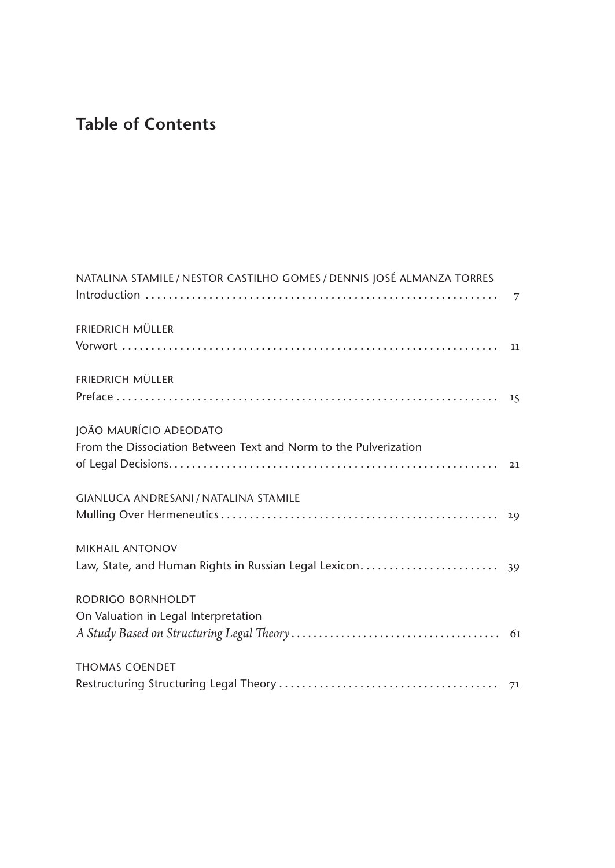## **Table of Contents**

| NATALINA STAMILE / NESTOR CASTILHO GOMES / DENNIS JOSÉ ALMANZA TORRES |  |
|-----------------------------------------------------------------------|--|
| <b>FRIEDRICH MÜLLER</b>                                               |  |
|                                                                       |  |
| <b>FRIEDRICH MÜLLER</b>                                               |  |
| JOÃO MAURÍCIO ADEODATO                                                |  |
| From the Dissociation Between Text and Norm to the Pulverization      |  |
|                                                                       |  |
| GIANLUCA ANDRESANI / NATALINA STAMILE                                 |  |
|                                                                       |  |
| <b>MIKHAIL ANTONOV</b>                                                |  |
|                                                                       |  |
| RODRIGO BORNHOLDT                                                     |  |
| On Valuation in Legal Interpretation                                  |  |
|                                                                       |  |
| <b>THOMAS COENDET</b>                                                 |  |
|                                                                       |  |